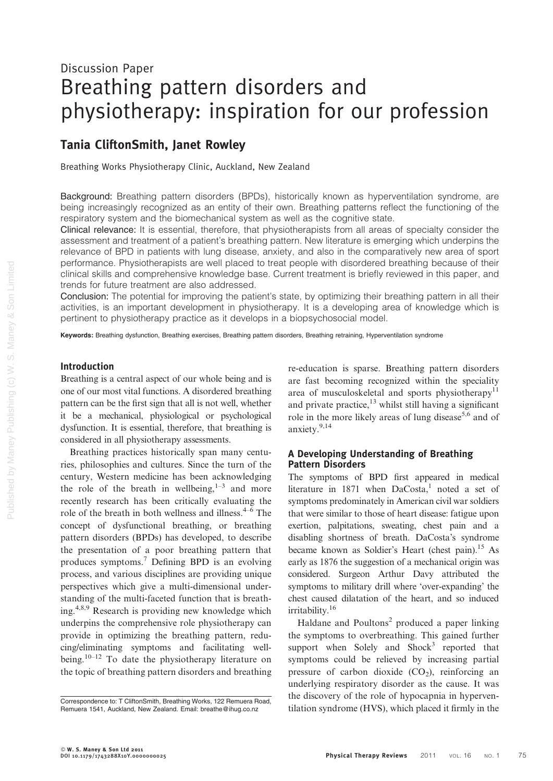# Discussion Paper Breathing pattern disorders and physiotherapy: inspiration for our profession

## Tania CliftonSmith, Janet Rowley

Breathing Works Physiotherapy Clinic, Auckland, New Zealand

Background: Breathing pattern disorders (BPDs), historically known as hyperventilation syndrome, are being increasingly recognized as an entity of their own. Breathing patterns reflect the functioning of the respiratory system and the biomechanical system as well as the cognitive state.

Clinical relevance: It is essential, therefore, that physiotherapists from all areas of specialty consider the assessment and treatment of a patient's breathing pattern. New literature is emerging which underpins the relevance of BPD in patients with lung disease, anxiety, and also in the comparatively new area of sport performance. Physiotherapists are well placed to treat people with disordered breathing because of their clinical skills and comprehensive knowledge base. Current treatment is briefly reviewed in this paper, and trends for future treatment are also addressed.

Conclusion: The potential for improving the patient's state, by optimizing their breathing pattern in all their activities, is an important development in physiotherapy. It is a developing area of knowledge which is pertinent to physiotherapy practice as it develops in a biopsychosocial model.

Keywords: Breathing dysfunction, Breathing exercises, Breathing pattern disorders, Breathing retraining, Hyperventilation syndrome

### Introduction

Breathing is a central aspect of our whole being and is one of our most vital functions. A disordered breathing pattern can be the first sign that all is not well, whether it be a mechanical, physiological or psychological dysfunction. It is essential, therefore, that breathing is considered in all physiotherapy assessments.

Breathing practices historically span many centuries, philosophies and cultures. Since the turn of the century, Western medicine has been acknowledging the role of the breath in wellbeing,  $1-3$  and more recently research has been critically evaluating the role of the breath in both wellness and illness. $4-6$  The concept of dysfunctional breathing, or breathing pattern disorders (BPDs) has developed, to describe the presentation of a poor breathing pattern that produces symptoms.<sup>7</sup> Defining BPD is an evolving process, and various disciplines are providing unique perspectives which give a multi-dimensional understanding of the multi-faceted function that is breathing.4,8,9 Research is providing new knowledge which underpins the comprehensive role physiotherapy can provide in optimizing the breathing pattern, reducing/eliminating symptoms and facilitating wellbeing.<sup>10–12</sup> To date the physiotherapy literature on the topic of breathing pattern disorders and breathing

re-education is sparse. Breathing pattern disorders are fast becoming recognized within the speciality area of musculoskeletal and sports physiotherapy<sup>11</sup> and private practice, $^{13}$  whilst still having a significant role in the more likely areas of lung disease<sup>5,6</sup> and of anxiety.9,14

### A Developing Understanding of Breathing Pattern Disorders

The symptoms of BPD first appeared in medical literature in 1871 when  $DaCosta<sub>i</sub><sup>1</sup>$  noted a set of symptoms predominately in American civil war soldiers that were similar to those of heart disease: fatigue upon exertion, palpitations, sweating, chest pain and a disabling shortness of breath. DaCosta's syndrome became known as Soldier's Heart (chest pain).<sup>15</sup> As early as 1876 the suggestion of a mechanical origin was considered. Surgeon Arthur Davy attributed the symptoms to military drill where 'over-expanding' the chest caused dilatation of the heart, and so induced irritability.16

Haldane and Poultons<sup>2</sup> produced a paper linking the symptoms to overbreathing. This gained further support when Solely and  $Shock<sup>3</sup>$  reported that symptoms could be relieved by increasing partial pressure of carbon dioxide  $(CO<sub>2</sub>)$ , reinforcing an underlying respiratory disorder as the cause. It was the discovery of the role of hypocapnia in hyperven-The Correspondence to: T Clifton Smith, Breathing Works, 122 Remuera Road,<br>The Correspondence to: T Clifton Smith, Breathing Works, 122 Remuera Road,<br>
tilation syndrome (HVS), which placed it firmly in the

Remuera 1541, Auckland, New Zealand. Email: breathe@ihug.co.nz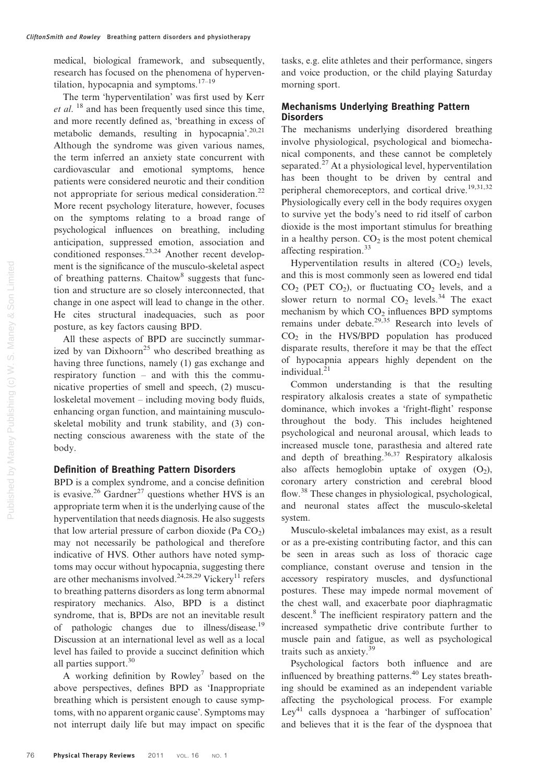medical, biological framework, and subsequently, research has focused on the phenomena of hyperventilation, hypocapnia and symptoms. $17-19$ 

The term 'hyperventilation' was first used by Kerr et al.  $^{18}$  and has been frequently used since this time, and more recently defined as, 'breathing in excess of metabolic demands, resulting in hypocapnia'.20,21 Although the syndrome was given various names, the term inferred an anxiety state concurrent with cardiovascular and emotional symptoms, hence patients were considered neurotic and their condition not appropriate for serious medical consideration.<sup>22</sup> More recent psychology literature, however, focuses on the symptoms relating to a broad range of psychological influences on breathing, including anticipation, suppressed emotion, association and conditioned responses.<sup>23,24</sup> Another recent development is the significance of the musculo-skeletal aspect of breathing patterns. Chaitow<sup>8</sup> suggests that function and structure are so closely interconnected, that change in one aspect will lead to change in the other. He cites structural inadequacies, such as poor posture, as key factors causing BPD.

All these aspects of BPD are succinctly summarized by van  $Dixhoorn^{25}$  who described breathing as having three functions, namely (1) gas exchange and respiratory function – and with this the communicative properties of smell and speech, (2) musculoskeletal movement – including moving body fluids, enhancing organ function, and maintaining musculoskeletal mobility and trunk stability, and (3) connecting conscious awareness with the state of the body.

### Definition of Breathing Pattern Disorders

BPD is a complex syndrome, and a concise definition is evasive.<sup>26</sup> Gardner<sup>27</sup> questions whether HVS is an appropriate term when it is the underlying cause of the hyperventilation that needs diagnosis. He also suggests that low arterial pressure of carbon dioxide (Pa  $CO<sub>2</sub>$ ) may not necessarily be pathological and therefore indicative of HVS. Other authors have noted symptoms may occur without hypocapnia, suggesting there  $\frac{1}{24,28,29}$  Vickery<sup>11</sup> refers to breathing patterns disorders as long term abnormal respiratory mechanics. Also, BPD is a distinct syndrome, that is, BPDs are not an inevitable result of pathologic changes due to illness/disease.19 Discussion at an international level as well as a local level has failed to provide a succinct definition which all parties support.<sup>30</sup>

A working definition by  $Rowley^7$  based on the above perspectives, defines BPD as 'Inappropriate breathing which is persistent enough to cause symptoms, with no apparent organic cause'. Symptoms may not interrupt daily life but may impact on specific

tasks, e.g. elite athletes and their performance, singers and voice production, or the child playing Saturday morning sport.

### Mechanisms Underlying Breathing Pattern **Disorders**

The mechanisms underlying disordered breathing involve physiological, psychological and biomechanical components, and these cannot be completely separated.<sup>27</sup> At a physiological level, hyperventilation has been thought to be driven by central and peripheral chemoreceptors, and cortical drive.<sup>19,31,32</sup> Physiologically every cell in the body requires oxygen to survive yet the body's need to rid itself of carbon dioxide is the most important stimulus for breathing in a healthy person.  $CO<sub>2</sub>$  is the most potent chemical affecting respiration.<sup>33</sup>

Hyperventilation results in altered  $(CO<sub>2</sub>)$  levels, and this is most commonly seen as lowered end tidal  $CO<sub>2</sub>$  (PET  $CO<sub>2</sub>$ ), or fluctuating  $CO<sub>2</sub>$  levels, and a slower return to normal  $CO<sub>2</sub>$  levels.<sup>34</sup> The exact mechanism by which  $CO<sub>2</sub>$  influences BPD symptoms remains under debate.29,35 Research into levels of  $CO<sub>2</sub>$  in the HVS/BPD population has produced disparate results, therefore it may be that the effect of hypocapnia appears highly dependent on the individual.<sup>21</sup>

Common understanding is that the resulting respiratory alkalosis creates a state of sympathetic dominance, which invokes a 'fright-flight' response throughout the body. This includes heightened psychological and neuronal arousal, which leads to increased muscle tone, parasthesia and altered rate and depth of breathing.  $36,37$  Respiratory alkalosis also affects hemoglobin uptake of oxygen  $(O_2)$ , coronary artery constriction and cerebral blood flow.<sup>38</sup> These changes in physiological, psychological, and neuronal states affect the musculo-skeletal system.

Musculo-skeletal imbalances may exist, as a result or as a pre-existing contributing factor, and this can be seen in areas such as loss of thoracic cage compliance, constant overuse and tension in the accessory respiratory muscles, and dysfunctional postures. These may impede normal movement of the chest wall, and exacerbate poor diaphragmatic descent.<sup>8</sup> The inefficient respiratory pattern and the increased sympathetic drive contribute further to muscle pain and fatigue, as well as psychological traits such as anxiety.<sup>39</sup>

Psychological factors both influence and are influenced by breathing patterns.<sup>40</sup> Ley states breathing should be examined as an independent variable affecting the psychological process. For example Ley<sup>41</sup> calls dyspnoea a 'harbinger of suffocation' and believes that it is the fear of the dyspnoea that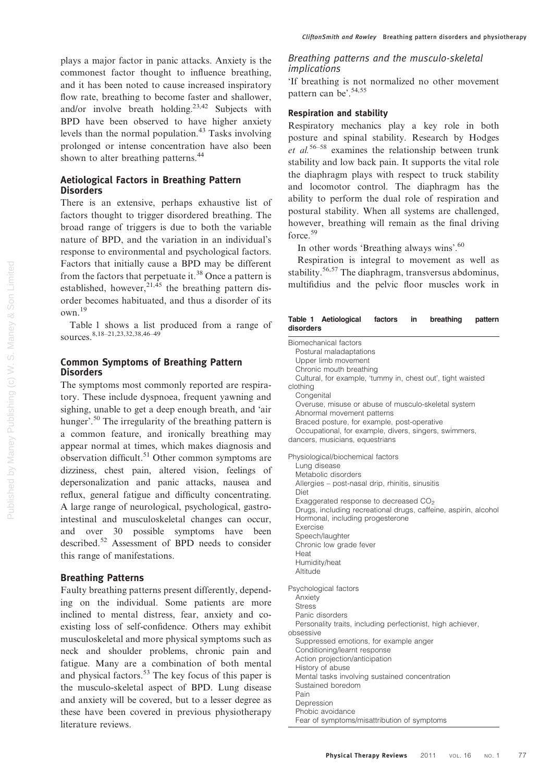plays a major factor in panic attacks. Anxiety is the commonest factor thought to influence breathing, and it has been noted to cause increased inspiratory flow rate, breathing to become faster and shallower, and/or involve breath holding.<sup>23,42</sup> Subjects with BPD have been observed to have higher anxiety levels than the normal population.<sup>43</sup> Tasks involving prolonged or intense concentration have also been shown to alter breathing patterns.<sup>44</sup>

### Aetiological Factors in Breathing Pattern **Disorders**

There is an extensive, perhaps exhaustive list of factors thought to trigger disordered breathing. The broad range of triggers is due to both the variable nature of BPD, and the variation in an individual's response to environmental and psychological factors. Factors that initially cause a BPD may be different from the factors that perpetuate it.<sup>38</sup> Once a pattern is established, however,  $2^{1,45}$  the breathing pattern disorder becomes habituated, and thus a disorder of its own.<sup>19</sup>

Table 1 shows a list produced from a range of sources.8,18–21,23,32,38,46–49

### Common Symptoms of Breathing Pattern **Disorders**

The symptoms most commonly reported are respiratory. These include dyspnoea, frequent yawning and sighing, unable to get a deep enough breath, and 'air hunger'.<sup>50</sup> The irregularity of the breathing pattern is a common feature, and ironically breathing may appear normal at times, which makes diagnosis and observation difficult.<sup>51</sup> Other common symptoms are dizziness, chest pain, altered vision, feelings of depersonalization and panic attacks, nausea and reflux, general fatigue and difficulty concentrating. A large range of neurological, psychological, gastrointestinal and musculoskeletal changes can occur, and over 30 possible symptoms have been described.<sup>52</sup> Assessment of BPD needs to consider this range of manifestations.

### Breathing Patterns

Faulty breathing patterns present differently, depending on the individual. Some patients are more inclined to mental distress, fear, anxiety and coexisting loss of self-confidence. Others may exhibit musculoskeletal and more physical symptoms such as neck and shoulder problems, chronic pain and fatigue. Many are a combination of both mental and physical factors.<sup>53</sup> The key focus of this paper is the musculo-skeletal aspect of BPD. Lung disease and anxiety will be covered, but to a lesser degree as these have been covered in previous physiotherapy literature reviews.

### Breathing patterns and the musculo-skeletal implications

'If breathing is not normalized no other movement pattern can be'.<sup>54,55</sup>

### Respiration and stability

Respiratory mechanics play a key role in both posture and spinal stability. Research by Hodges et al.<sup>56–58</sup> examines the relationship between trunk stability and low back pain. It supports the vital role the diaphragm plays with respect to truck stability and locomotor control. The diaphragm has the ability to perform the dual role of respiration and postural stability. When all systems are challenged, however, breathing will remain as the final driving force.<sup>59</sup>

In other words 'Breathing always wins'.<sup>60</sup>

Respiration is integral to movement as well as stability.56,57 The diaphragm, transversus abdominus, multifidius and the pelvic floor muscles work in

|           | Table 1 Aetiological | factors | in | breathing | pattern |
|-----------|----------------------|---------|----|-----------|---------|
| disorders |                      |         |    |           |         |

| <b>Biomechanical factors</b><br>Upper limb movement<br>clothing<br>Congenital | Postural maladaptations<br>Chronic mouth breathing<br>Abnormal movement patterns<br>Braced posture, for example, post-operative<br>dancers, musicians, equestrians | Cultural, for example, 'tummy in, chest out', tight waisted<br>Overuse, misuse or abuse of musculo-skeletal system<br>Occupational, for example, divers, singers, swimmers, |  |
|-------------------------------------------------------------------------------|--------------------------------------------------------------------------------------------------------------------------------------------------------------------|-----------------------------------------------------------------------------------------------------------------------------------------------------------------------------|--|
| Lung disease<br>Metabolic disorders<br>Diet                                   | Physiological/biochemical factors<br>Allergies - post-nasal drip, rhinitis, sinusitis<br>Exaggerated response to decreased CO <sub>2</sub>                         | Drugs, including recreational drugs, caffeine, aspirin, alcohol                                                                                                             |  |
| Exercise<br>Speech/laughter<br>Heat<br>Humidity/heat<br>Altitude              | Hormonal, including progesterone<br>Chronic low grade fever                                                                                                        |                                                                                                                                                                             |  |
| Psychological factors<br>Anxiety<br><b>Stress</b><br>Panic disorders          |                                                                                                                                                                    | Personality traits, including perfectionist, high achiever,                                                                                                                 |  |
| obsessive<br>History of abuse<br>Sustained boredom                            | Suppressed emotions, for example anger<br>Conditioning/learnt response<br>Action projection/anticipation<br>Mental tasks involving sustained concentration         |                                                                                                                                                                             |  |
| Pain<br>Depression<br>Phobic avoidance                                        | Fear of symptoms/misattribution of symptoms                                                                                                                        |                                                                                                                                                                             |  |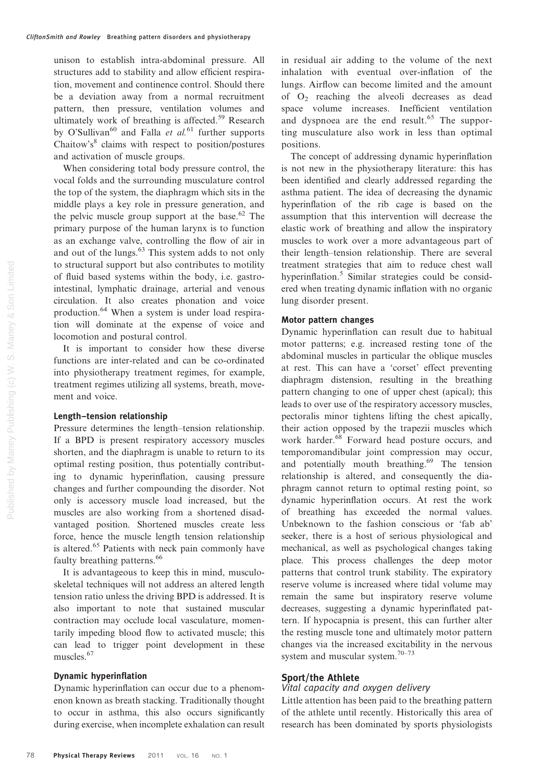unison to establish intra-abdominal pressure. All structures add to stability and allow efficient respiration, movement and continence control. Should there be a deviation away from a normal recruitment pattern, then pressure, ventilation volumes and ultimately work of breathing is affected.<sup>59</sup> Research by O'Sullivan<sup>60</sup> and Falla et  $al$ <sup>61</sup> further supports Chaitow's $8$  claims with respect to position/postures and activation of muscle groups.

When considering total body pressure control, the vocal folds and the surrounding musculature control the top of the system, the diaphragm which sits in the middle plays a key role in pressure generation, and the pelvic muscle group support at the base.<sup>62</sup> The primary purpose of the human larynx is to function as an exchange valve, controlling the flow of air in and out of the lungs.<sup>63</sup> This system adds to not only to structural support but also contributes to motility of fluid based systems within the body, i.e. gastrointestinal, lymphatic drainage, arterial and venous circulation. It also creates phonation and voice production.<sup>64</sup> When a system is under load respiration will dominate at the expense of voice and locomotion and postural control.

It is important to consider how these diverse functions are inter-related and can be co-ordinated into physiotherapy treatment regimes, for example, treatment regimes utilizing all systems, breath, movement and voice.

#### Length–tension relationship

Pressure determines the length–tension relationship. If a BPD is present respiratory accessory muscles shorten, and the diaphragm is unable to return to its optimal resting position, thus potentially contributing to dynamic hyperinflation, causing pressure changes and further compounding the disorder. Not only is accessory muscle load increased, but the muscles are also working from a shortened disadvantaged position. Shortened muscles create less force, hence the muscle length tension relationship is altered.<sup>65</sup> Patients with neck pain commonly have faulty breathing patterns.<sup>66</sup>

It is advantageous to keep this in mind, musculoskeletal techniques will not address an altered length tension ratio unless the driving BPD is addressed. It is also important to note that sustained muscular contraction may occlude local vasculature, momentarily impeding blood flow to activated muscle; this can lead to trigger point development in these muscles.<sup>67</sup>

#### Dynamic hyperinflation

Dynamic hyperinflation can occur due to a phenomenon known as breath stacking. Traditionally thought to occur in asthma, this also occurs significantly during exercise, when incomplete exhalation can result

in residual air adding to the volume of the next inhalation with eventual over-inflation of the lungs. Airflow can become limited and the amount of  $O_2$  reaching the alveoli decreases as dead space volume increases. Inefficient ventilation and dyspnoea are the end result.<sup>65</sup> The supporting musculature also work in less than optimal positions.

The concept of addressing dynamic hyperinflation is not new in the physiotherapy literature: this has been identified and clearly addressed regarding the asthma patient. The idea of decreasing the dynamic hyperinflation of the rib cage is based on the assumption that this intervention will decrease the elastic work of breathing and allow the inspiratory muscles to work over a more advantageous part of their length–tension relationship. There are several treatment strategies that aim to reduce chest wall hyperinflation.<sup>5</sup> Similar strategies could be considered when treating dynamic inflation with no organic lung disorder present.

### Motor pattern changes

Dynamic hyperinflation can result due to habitual motor patterns; e.g. increased resting tone of the abdominal muscles in particular the oblique muscles at rest. This can have a 'corset' effect preventing diaphragm distension, resulting in the breathing pattern changing to one of upper chest (apical); this leads to over use of the respiratory accessory muscles, pectoralis minor tightens lifting the chest apically, their action opposed by the trapezii muscles which work harder.<sup>68</sup> Forward head posture occurs, and temporomandibular joint compression may occur, and potentially mouth breathing.<sup>69</sup> The tension relationship is altered, and consequently the diaphragm cannot return to optimal resting point, so dynamic hyperinflation occurs. At rest the work of breathing has exceeded the normal values. Unbeknown to the fashion conscious or 'fab ab' seeker, there is a host of serious physiological and mechanical, as well as psychological changes taking place. This process challenges the deep motor patterns that control trunk stability. The expiratory reserve volume is increased where tidal volume may remain the same but inspiratory reserve volume decreases, suggesting a dynamic hyperinflated pattern. If hypocapnia is present, this can further alter the resting muscle tone and ultimately motor pattern changes via the increased excitability in the nervous system and muscular system.70–73

### Sport/the Athlete

### Vital capacity and oxygen delivery

Little attention has been paid to the breathing pattern of the athlete until recently. Historically this area of research has been dominated by sports physiologists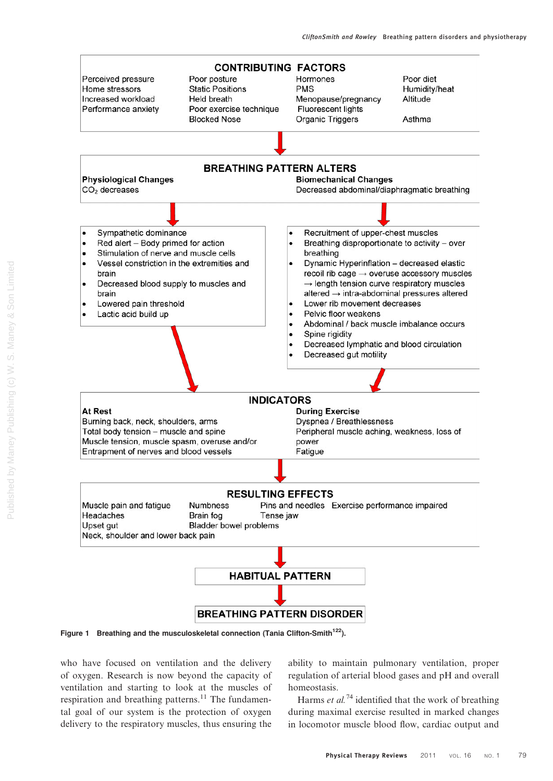

Figure 1 Breathing and the musculoskeletal connection (Tania Clifton-Smith<sup>122</sup>).

who have focused on ventilation and the delivery of oxygen. Research is now beyond the capacity of ventilation and starting to look at the muscles of respiration and breathing patterns.<sup>11</sup> The fundamental goal of our system is the protection of oxygen delivery to the respiratory muscles, thus ensuring the ability to maintain pulmonary ventilation, proper regulation of arterial blood gases and pH and overall homeostasis.

Harms et al.<sup>74</sup> identified that the work of breathing during maximal exercise resulted in marked changes in locomotor muscle blood flow, cardiac output and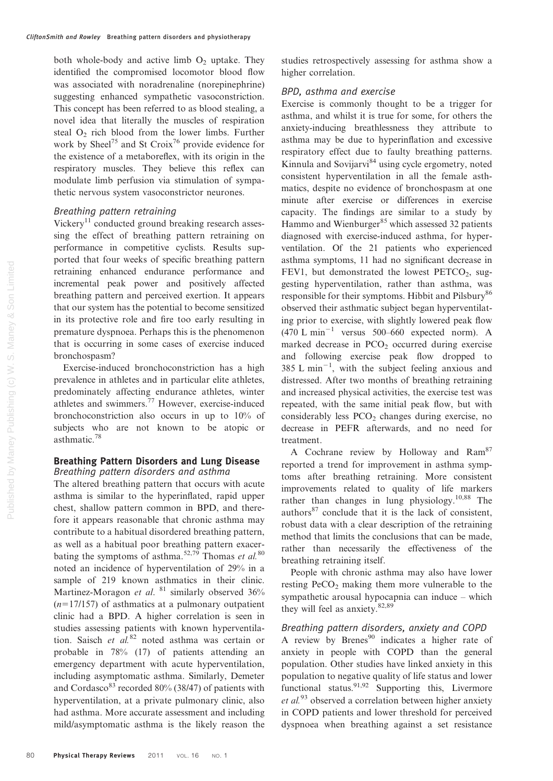both whole-body and active limb  $O<sub>2</sub>$  uptake. They identified the compromised locomotor blood flow was associated with noradrenaline (norepinephrine) suggesting enhanced sympathetic vasoconstriction. This concept has been referred to as blood stealing, a novel idea that literally the muscles of respiration steal  $O<sub>2</sub>$  rich blood from the lower limbs. Further work by Sheel<sup>75</sup> and St Croix<sup>76</sup> provide evidence for the existence of a metaboreflex, with its origin in the respiratory muscles. They believe this reflex can modulate limb perfusion via stimulation of sympathetic nervous system vasoconstrictor neurones.

### Breathing pattern retraining

Vickery<sup>11</sup> conducted ground breaking research assessing the effect of breathing pattern retraining on performance in competitive cyclists. Results supported that four weeks of specific breathing pattern retraining enhanced endurance performance and incremental peak power and positively affected breathing pattern and perceived exertion. It appears that our system has the potential to become sensitized in its protective role and fire too early resulting in premature dyspnoea. Perhaps this is the phenomenon that is occurring in some cases of exercise induced bronchospasm?

Exercise-induced bronchoconstriction has a high prevalence in athletes and in particular elite athletes, predominately affecting endurance athletes, winter athletes and swimmers.<sup>77</sup> However, exercise-induced bronchoconstriction also occurs in up to 10% of subjects who are not known to be atopic or asthmatic.<sup>78</sup>

### Breathing Pattern Disorders and Lung Disease Breathing pattern disorders and asthma

The altered breathing pattern that occurs with acute asthma is similar to the hyperinflated, rapid upper chest, shallow pattern common in BPD, and therefore it appears reasonable that chronic asthma may contribute to a habitual disordered breathing pattern, as well as a habitual poor breathing pattern exacerbating the symptoms of asthma.<sup>52,79</sup> Thomas et al.<sup>80</sup> noted an incidence of hyperventilation of 29% in a sample of 219 known asthmatics in their clinic. Martinez-Moragon et al. <sup>81</sup> similarly observed 36%  $(n=17/157)$  of asthmatics at a pulmonary outpatient clinic had a BPD. A higher correlation is seen in studies assessing patients with known hyperventilation. Saisch et  $al$ <sup>82</sup> noted asthma was certain or probable in 78% (17) of patients attending an emergency department with acute hyperventilation, including asymptomatic asthma. Similarly, Demeter and Cordasco $83$  recorded  $80\%$  (38/47) of patients with hyperventilation, at a private pulmonary clinic, also had asthma. More accurate assessment and including mild/asymptomatic asthma is the likely reason the

studies retrospectively assessing for asthma show a higher correlation.

### BPD, asthma and exercise

Exercise is commonly thought to be a trigger for asthma, and whilst it is true for some, for others the anxiety-inducing breathlessness they attribute to asthma may be due to hyperinflation and excessive respiratory effect due to faulty breathing patterns. Kinnula and Sovijarvi $^{84}$  using cycle ergometry, noted consistent hyperventilation in all the female asthmatics, despite no evidence of bronchospasm at one minute after exercise or differences in exercise capacity. The findings are similar to a study by Hammo and Wienburger<sup>85</sup> which assessed 32 patients diagnosed with exercise-induced asthma, for hyperventilation. Of the 21 patients who experienced asthma symptoms, 11 had no significant decrease in FEV1, but demonstrated the lowest  $PETCO<sub>2</sub>$ , suggesting hyperventilation, rather than asthma, was responsible for their symptoms. Hibbit and Pilsbury<sup>86</sup> observed their asthmatic subject began hyperventilating prior to exercise, with slightly lowered peak flow  $(470 \text{ L min}^{-1}$  versus 500–660 expected norm). A marked decrease in  $PCO<sub>2</sub>$  occurred during exercise and following exercise peak flow dropped to 385 L min<sup>-1</sup>, with the subject feeling anxious and distressed. After two months of breathing retraining and increased physical activities, the exercise test was repeated, with the same initial peak flow, but with considerably less  $PCO<sub>2</sub>$  changes during exercise, no decrease in PEFR afterwards, and no need for treatment.

A Cochrane review by Holloway and Ram<sup>87</sup> reported a trend for improvement in asthma symptoms after breathing retraining. More consistent improvements related to quality of life markers rather than changes in lung physiology.10,88 The authors $87$  conclude that it is the lack of consistent, robust data with a clear description of the retraining method that limits the conclusions that can be made, rather than necessarily the effectiveness of the breathing retraining itself.

People with chronic asthma may also have lower resting  $PeCO<sub>2</sub>$  making them more vulnerable to the sympathetic arousal hypocapnia can induce – which they will feel as anxiety. $82,89$ 

### Breathing pattern disorders, anxiety and COPD

A review by Brenes<sup>90</sup> indicates a higher rate of anxiety in people with COPD than the general population. Other studies have linked anxiety in this population to negative quality of life status and lower functional status.<sup>91,92</sup> Supporting this, Livermore  $et al.<sup>93</sup> observed a correlation between higher anxiety$ in COPD patients and lower threshold for perceived dyspnoea when breathing against a set resistance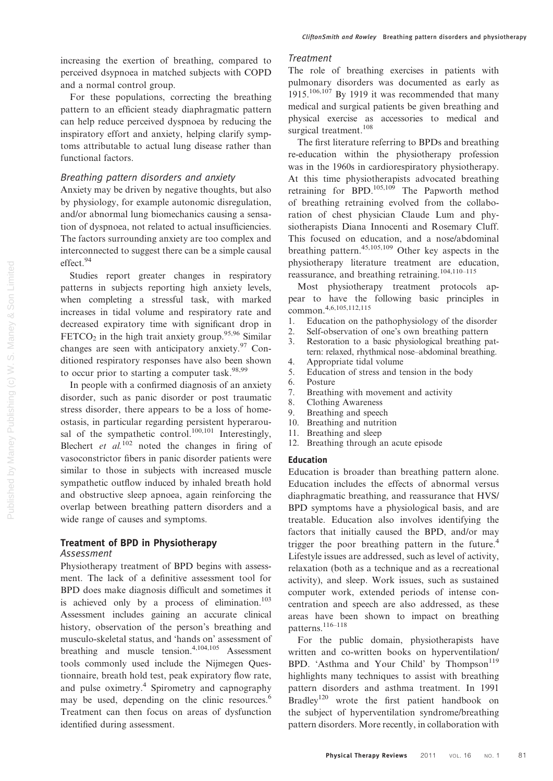increasing the exertion of breathing, compared to perceived dsypnoea in matched subjects with COPD and a normal control group.

For these populations, correcting the breathing pattern to an efficient steady diaphragmatic pattern can help reduce perceived dyspnoea by reducing the inspiratory effort and anxiety, helping clarify symptoms attributable to actual lung disease rather than functional factors.

### Breathing pattern disorders and anxiety

Anxiety may be driven by negative thoughts, but also by physiology, for example autonomic disregulation, and/or abnormal lung biomechanics causing a sensation of dyspnoea, not related to actual insufficiencies. The factors surrounding anxiety are too complex and interconnected to suggest there can be a simple causal effect.<sup>94</sup>

Studies report greater changes in respiratory patterns in subjects reporting high anxiety levels, when completing a stressful task, with marked increases in tidal volume and respiratory rate and decreased expiratory time with significant drop in  $FETCO<sub>2</sub>$  in the high trait anxiety group.<sup>95,96</sup> Similar changes are seen with anticipatory anxiety. $97$  Conditioned respiratory responses have also been shown to occur prior to starting a computer task.  $98,99$ 

In people with a confirmed diagnosis of an anxiety disorder, such as panic disorder or post traumatic stress disorder, there appears to be a loss of homeostasis, in particular regarding persistent hyperarousal of the sympathetic control.<sup>100,101</sup> Interestingly, Blechert et  $al$ ,  $\frac{102}{2}$  noted the changes in firing of vasoconstrictor fibers in panic disorder patients were similar to those in subjects with increased muscle sympathetic outflow induced by inhaled breath hold and obstructive sleep apnoea, again reinforcing the overlap between breathing pattern disorders and a wide range of causes and symptoms.

# Treatment of BPD in Physiotherapy

### Assessment

Physiotherapy treatment of BPD begins with assessment. The lack of a definitive assessment tool for BPD does make diagnosis difficult and sometimes it is achieved only by a process of elimination. $103$ Assessment includes gaining an accurate clinical history, observation of the person's breathing and musculo-skeletal status, and 'hands on' assessment of breathing and muscle tension.<sup>4,104,105</sup> Assessment tools commonly used include the Nijmegen Questionnaire, breath hold test, peak expiratory flow rate, and pulse oximetry.<sup>4</sup> Spirometry and capnography may be used, depending on the clinic resources.<sup>6</sup> Treatment can then focus on areas of dysfunction identified during assessment.

#### Treatment

The role of breathing exercises in patients with pulmonary disorders was documented as early as 1915.106,107 By 1919 it was recommended that many medical and surgical patients be given breathing and physical exercise as accessories to medical and surgical treatment.<sup>108</sup>

The first literature referring to BPDs and breathing re-education within the physiotherapy profession was in the 1960s in cardiorespiratory physiotherapy. At this time physiotherapists advocated breathing retraining for BPD.105,109 The Papworth method of breathing retraining evolved from the collaboration of chest physician Claude Lum and physiotherapists Diana Innocenti and Rosemary Cluff. This focused on education, and a nose/abdominal breathing pattern.45,105,109 Other key aspects in the physiotherapy literature treatment are education, reassurance, and breathing retraining.104,110–115

Most physiotherapy treatment protocols appear to have the following basic principles in common.<sup>4,6,105,112,115</sup>

- 1. Education on the pathophysiology of the disorder
- 2. Self-observation of one's own breathing pattern
- 3. Restoration to a basic physiological breathing pattern: relaxed, rhythmical nose–abdominal breathing.
- 4. Appropriate tidal volume
- 5. Education of stress and tension in the body
- 6. Posture
- 7. Breathing with movement and activity
- 8. Clothing Awareness
- 9. Breathing and speech
- 10. Breathing and nutrition
- 11. Breathing and sleep
- 12. Breathing through an acute episode

### Education

Education is broader than breathing pattern alone. Education includes the effects of abnormal versus diaphragmatic breathing, and reassurance that HVS/ BPD symptoms have a physiological basis, and are treatable. Education also involves identifying the factors that initially caused the BPD, and/or may trigger the poor breathing pattern in the future.<sup>4</sup> Lifestyle issues are addressed, such as level of activity, relaxation (both as a technique and as a recreational activity), and sleep. Work issues, such as sustained computer work, extended periods of intense concentration and speech are also addressed, as these areas have been shown to impact on breathing patterns.<sup>116–118</sup>

For the public domain, physiotherapists have written and co-written books on hyperventilation/ BPD. 'Asthma and Your Child' by Thompson<sup>119</sup> highlights many techniques to assist with breathing pattern disorders and asthma treatment. In 1991 Bradley<sup>120</sup> wrote the first patient handbook on the subject of hyperventilation syndrome/breathing pattern disorders. More recently, in collaboration with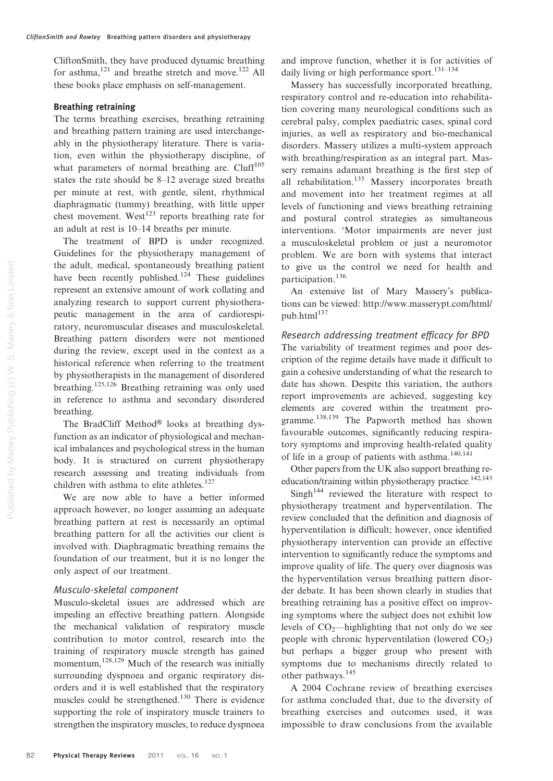CliftonSmith, they have produced dynamic breathing for asthma, $^{121}$  and breathe stretch and move. $^{122}$  All these books place emphasis on self-management.

### Breathing retraining

The terms breathing exercises, breathing retraining and breathing pattern training are used interchangeably in the physiotherapy literature. There is variation, even within the physiotherapy discipline, of what parameters of normal breathing are.  $Cluff^{105}$ states the rate should be 8–12 average sized breaths per minute at rest, with gentle, silent, rhythmical diaphragmatic (tummy) breathing, with little upper chest movement. West<sup>123</sup> reports breathing rate for an adult at rest is 10–14 breaths per minute.

The treatment of BPD is under recognized. Guidelines for the physiotherapy management of the adult, medical, spontaneously breathing patient have been recently published.<sup>124</sup> These guidelines represent an extensive amount of work collating and analyzing research to support current physiotherapeutic management in the area of cardiorespiratory, neuromuscular diseases and musculoskeletal. Breathing pattern disorders were not mentioned during the review, except used in the context as a historical reference when referring to the treatment by physiotherapists in the management of disordered breathing.125,126 Breathing retraining was only used in reference to asthma and secondary disordered breathing.

The BradCliff Method® looks at breathing dysfunction as an indicator of physiological and mechanical imbalances and psychological stress in the human body. It is structured on current physiotherapy research assessing and treating individuals from children with asthma to elite athletes.<sup>127</sup>

We are now able to have a better informed approach however, no longer assuming an adequate breathing pattern at rest is necessarily an optimal breathing pattern for all the activities our client is involved with. Diaphragmatic breathing remains the foundation of our treatment, but it is no longer the only aspect of our treatment.

#### Musculo-skeletal component

Musculo-skeletal issues are addressed which are impeding an effective breathing pattern. Alongside the mechanical validation of respiratory muscle contribution to motor control, research into the training of respiratory muscle strength has gained momentum,  $128,129$  Much of the research was initially surrounding dyspnoea and organic respiratory disorders and it is well established that the respiratory muscles could be strengthened.<sup>130</sup> There is evidence supporting the role of inspiratory muscle trainers to strengthen the inspiratory muscles, to reduce dyspnoea

and improve function, whether it is for activities of daily living or high performance sport.<sup>131–134</sup>

Massery has successfully incorporated breathing, respiratory control and re-education into rehabilitation covering many neurological conditions such as cerebral palsy, complex paediatric cases, spinal cord injuries, as well as respiratory and bio-mechanical disorders. Massery utilizes a multi-system approach with breathing/respiration as an integral part. Massery remains adamant breathing is the first step of all rehabilitation.<sup>135</sup> Massery incorporates breath and movement into her treatment regimes at all levels of functioning and views breathing retraining and postural control strategies as simultaneous interventions. 'Motor impairments are never just a musculoskeletal problem or just a neuromotor problem. We are born with systems that interact to give us the control we need for health and participation.<sup>136</sup>

An extensive list of Mary Massery's publications can be viewed: http://www.masserypt.com/html/ pub.html $137$ 

Research addressing treatment efficacy for BPD The variability of treatment regimes and poor description of the regime details have made it difficult to gain a cohesive understanding of what the research to date has shown. Despite this variation, the authors report improvements are achieved, suggesting key elements are covered within the treatment programme.138,139 The Papworth method has shown favourable outcomes, significantly reducing respiratory symptoms and improving health-related quality of life in a group of patients with asthma.<sup>140,141</sup>

Other papers from the UK also support breathing reeducation/training within physiotherapy practice.<sup>142,143</sup>

 $Singh<sup>144</sup>$  reviewed the literature with respect to physiotherapy treatment and hyperventilation. The review concluded that the definition and diagnosis of hyperventilation is difficult; however, once identified physiotherapy intervention can provide an effective intervention to significantly reduce the symptoms and improve quality of life. The query over diagnosis was the hyperventilation versus breathing pattern disorder debate. It has been shown clearly in studies that breathing retraining has a positive effect on improving symptoms where the subject does not exhibit low levels of  $CO_2$ —highlighting that not only do we see people with chronic hyperventilation (lowered  $CO<sub>2</sub>$ ) but perhaps a bigger group who present with symptoms due to mechanisms directly related to other pathways.<sup>145</sup>

A 2004 Cochrane review of breathing exercises for asthma concluded that, due to the diversity of breathing exercises and outcomes used, it was impossible to draw conclusions from the available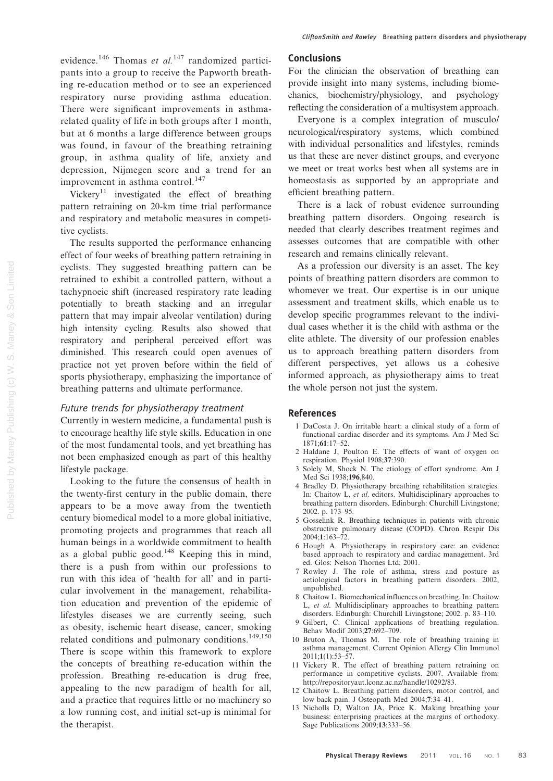evidence.<sup>146</sup> Thomas et al.<sup>147</sup> randomized participants into a group to receive the Papworth breathing re-education method or to see an experienced respiratory nurse providing asthma education. There were significant improvements in asthmarelated quality of life in both groups after 1 month, but at 6 months a large difference between groups was found, in favour of the breathing retraining group, in asthma quality of life, anxiety and depression, Nijmegen score and a trend for an improvement in asthma control.<sup>147</sup>

Vickery<sup>11</sup> investigated the effect of breathing pattern retraining on 20-km time trial performance and respiratory and metabolic measures in competitive cyclists.

The results supported the performance enhancing effect of four weeks of breathing pattern retraining in cyclists. They suggested breathing pattern can be retrained to exhibit a controlled pattern, without a tachypnoeic shift (increased respiratory rate leading potentially to breath stacking and an irregular pattern that may impair alveolar ventilation) during high intensity cycling. Results also showed that respiratory and peripheral perceived effort was diminished. This research could open avenues of practice not yet proven before within the field of sports physiotherapy, emphasizing the importance of breathing patterns and ultimate performance.

### Future trends for physiotherapy treatment

Currently in western medicine, a fundamental push is to encourage healthy life style skills. Education in one of the most fundamental tools, and yet breathing has not been emphasized enough as part of this healthy lifestyle package.

Looking to the future the consensus of health in the twenty-first century in the public domain, there appears to be a move away from the twentieth century biomedical model to a more global initiative, promoting projects and programmes that reach all human beings in a worldwide commitment to health as a global public good.<sup>148</sup> Keeping this in mind, there is a push from within our professions to run with this idea of 'health for all' and in particular involvement in the management, rehabilitation education and prevention of the epidemic of lifestyles diseases we are currently seeing, such as obesity, ischemic heart disease, cancer, smoking related conditions and pulmonary conditions.<sup>149,150</sup> There is scope within this framework to explore the concepts of breathing re-education within the profession. Breathing re-education is drug free, appealing to the new paradigm of health for all, and a practice that requires little or no machinery so a low running cost, and initial set-up is minimal for the therapist.

### Conclusions

For the clinician the observation of breathing can provide insight into many systems, including biomechanics, biochemistry/physiology, and psychology reflecting the consideration of a multisystem approach.

Everyone is a complex integration of musculo/ neurological/respiratory systems, which combined with individual personalities and lifestyles, reminds us that these are never distinct groups, and everyone we meet or treat works best when all systems are in homeostasis as supported by an appropriate and efficient breathing pattern.

There is a lack of robust evidence surrounding breathing pattern disorders. Ongoing research is needed that clearly describes treatment regimes and assesses outcomes that are compatible with other research and remains clinically relevant.

As a profession our diversity is an asset. The key points of breathing pattern disorders are common to whomever we treat. Our expertise is in our unique assessment and treatment skills, which enable us to develop specific programmes relevant to the individual cases whether it is the child with asthma or the elite athlete. The diversity of our profession enables us to approach breathing pattern disorders from different perspectives, yet allows us a cohesive informed approach, as physiotherapy aims to treat the whole person not just the system.

### References

- 1 DaCosta J. On irritable heart: a clinical study of a form of functional cardiac disorder and its symptoms. Am J Med Sci 1871;61:17–52.
- 2 Haldane J, Poulton E. The effects of want of oxygen on respiration. Physiol 1908;37:390.
- 3 Solely M, Shock N. The etiology of effort syndrome. Am J Med Sci 1938;196,840.
- 4 Bradley D. Physiotherapy breathing rehabilitation strategies. In: Chaitow L, et al. editors. Multidisciplinary approaches to breathing pattern disorders. Edinburgh: Churchill Livingstone; 2002. p. 173–95.
- 5 Gosselink R. Breathing techniques in patients with chronic obstructive pulmonary disease (COPD). Chron Respir Dis  $2004 \cdot 1.163 - 72$
- 6 Hough A. Physiotherapy in respiratory care: an evidence based approach to respiratory and cardiac management. 3rd ed. Glos: Nelson Thornes Ltd; 2001.
- 7 Rowley J. The role of asthma, stress and posture as aetiological factors in breathing pattern disorders. 2002, unpublished.
- 8 Chaitow L. Biomechanical influences on breathing. In: Chaitow L, et al. Multidisciplinary approaches to breathing pattern disorders. Edinburgh: Churchill Livingstone; 2002. p. 83–110.
- 9 Gilbert, C. Clinical applications of breathing regulation. Behav Modif 2003;27:692–709.
- 10 Bruton A, Thomas M. The role of breathing training in asthma management. Current Opinion Allergy Clin Immunol  $2011:1(1):53-57.$
- 11 Vickery R. The effect of breathing pattern retraining on performance in competitive cyclists. 2007. Available from: http://repositoryaut.lconz.ac.nz/handle/10292/83.
- 12 Chaitow L. Breathing pattern disorders, motor control, and low back pain. J Osteopath Med 2004;7:34–41.
- 13 Nicholls D, Walton JA, Price K. Making breathing your business: enterprising practices at the margins of orthodoxy. Sage Publications 2009;13:333–56.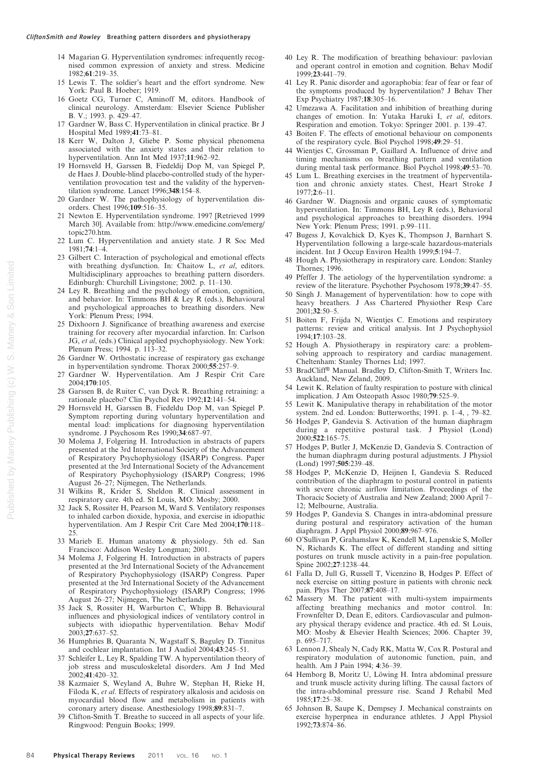- 14 Magarian G. Hyperventilation syndromes: infrequently recognised common expression of anxiety and stress. Medicine 1982;61:219–35.
- 15 Lewis T. The soldier's heart and the effort syndrome. New York: Paul B. Hoeber; 1919.
- 16 Goetz CG, Turner C, Aminoff M, editors. Handbook of clinical neurology. Amsterdam: Elsevier Science Publisher B. V.; 1993. p. 429–47.
- 17 Gardner W, Bass C. Hyperventilation in clinical practice. Br J Hospital Med 1989;41:73–81.
- 18 Kerr W, Dalton J, Gliebe P. Some physical phenomena associated with the anxiety states and their relation to hyperventilation. Ann Int Med 1937;11:962–92.
- 19 Hornsveld H, Garssen B, Fiedeldij Dop M, van Spiegel P, de Haes J. Double-blind placebo-controlled study of the hyperventilation provocation test and the validity of the hyperventilation syndrome. Lancet 1996;348:154–8.
- 20 Gardner W. The pathophysiology of hyperventilation disorders. Chest 1996;109:516–35.
- 21 Newton E. Hyperventilation syndrome. 1997 [Retrieved 1999 March 30]. Available from: http://www.emedicine.com/emerg/ topic270.htm.
- 22 Lum C. Hyperventilation and anxiety state. J R Soc Med 1981;74:1–4.
- 23 Gilbert C. Interaction of psychological and emotional effects with breathing dysfunction. In: Chaitow L, et al, editors. Multidisciplinary approaches to breathing pattern disorders. Edinburgh: Churchill Livingstone; 2002. p. 11–130.
- 24 Ley R. Breathing and the psychology of emotion, cognition, and behavior. In: Timmons BH & Ley R (eds.), Behavioural and psychological approaches to breathing disorders. New York: Plenum Press; 1994.
- 25 Dixhoorn J. Significance of breathing awareness and exercise training for recovery after myocardial infarction. In: Carlson JG, et al, (eds.) Clinical applied psychophysiology. New York: Plenum Press; 1994. p. 113–32.
- 26 Gardner W. Orthostatic increase of respiratory gas exchange in hyperventilation syndrome. Thorax 2000;55:257–9.
- 27 Gardner W. Hyperventilation. Am J Respir Crit Care 2004;170:105.
- 28 Garssen B, de Ruiter C, van Dyck R. Breathing retraining: a rationale placebo? Clin Psychol Rev 1992;12:141–54.
- 29 Hornsveld H, Garssen B, Fiedeldu Dop M, van Spiegel P. Symptom reporting during voluntary hyperventilation and mental load: implications for diagnosing hyperventilation syndrome. J Psychosom Res 1990;34:687–97.
- 30 Molema J, Folgering H. Introduction in abstracts of papers presented at the 3rd International Society of the Advancement of Respiratory Psychophysiology (ISARP) Congress. Paper presented at the 3rd International Society of the Advancement of Respiratory Psychophysiology (ISARP) Congress; 1996 August 26–27; Nijmegen, The Netherlands.
- 31 Wilkins R, Krider S, Sheldon R. Clinical assessment in respiratory care. 4th ed. St Louis, MO: Mosby; 2000.
- 32 Jack S, Rossiter H, Pearson M, Ward S. Ventilatory responses to inhaled carbon dioxide, hypoxia, and exercise in idiopathic hyperventilation. Am J Respir Crit Care Med 2004;170:118– 25.
- 33 Marieb E. Human anatomy & physiology. 5th ed. San Francisco: Addison Wesley Longman; 2001.
- 34 Molema J, Folgering H. Introduction in abstracts of papers presented at the 3rd International Society of the Advancement of Respiratory Psychophysiology (ISARP) Congress. Paper presented at the 3rd International Society of the Advancement of Respiratory Psychophysiology (ISARP) Congress; 1996 August 26–27; Nijmegen, The Netherlands.
- 35 Jack S, Rossiter H, Warburton C, Whipp B. Behavioural influences and physiological indices of ventilatory control in subjects with idiopathic hyperventilation. Behav Modif 2003;27:637–52.
- 36 Humphries B, Quaranta N, Wagstaff S, Baguley D. Tinnitus and cochlear implantation. Int J Audiol 2004;43:245–51.
- 37 Schleifer L, Ley  $\mathbf{\hat{R}}$ , Spalding TW. A hyperventilation theory of job stress and musculoskeletal disorders. Am J Ind Med  $2002:41:420 - 32$ .
- 38 Kazmaier S, Weyland A, Buhre W, Stephan H, Rieke H, Filoda K, et al. Effects of respiratory alkalosis and acidosis on myocardial blood flow and metabolism in patients with coronary artery disease. Anesthesiology 1998;89:831–7.
- 39 Clifton-Smith T. Breathe to succeed in all aspects of your life. Ringwood: Penguin Books; 1999.
- 40 Ley R. The modification of breathing behaviour: pavlovian and operant control in emotion and cognition. Behav Modif 1999;23:441–79.
- 41 Ley R. Panic disorder and agoraphobia: fear of fear or fear of the symptoms produced by hyperventilation? J Behav Ther Exp Psychiatry 1987;18:305–16.
- 42 Umezawa A. Facilitation and inhibition of breathing during changes of emotion. In: Yutaka Haruki I, et al, editors. Respiration and emotion. Tokyo: Springer 2001. p. 139–47.
- 43 Boiten F. The effects of emotional behaviour on components of the respiratory cycle. Biol Psychol 1998;49:29–51.
- 44 Wientjes C, Grossman P, Gaillard A. Influence of drive and timing mechanisms on breathing pattern and ventilation during mental task performance. Biol Psychol 1998;49:53–70.
- 45 Lum L. Breathing exercises in the treatment of hyperventilation and chronic anxiety states. Chest, Heart Stroke J 1977;2:6–11.
- 46 Gardner W. Diagnosis and organic causes of symptomatic hyperventilation. In: Timmons BH, Ley R (eds.), Behavioral and psychological approaches to breathing disorders. 1994 New York: Plenum Press; 1991. p.99–111.
- 47 Bugess J, Kovalchick D, Kyes K, Thompson J, Barnhart S. Hyperventilation following a large-scale hazardous-materials incident. Int J Occup Environ Health 1999;5:194–7.
- 48 Hough A. Physiotherapy in respiratory care. London: Stanley Thornes; 1996.
- 49 Pfeffer J. The aetiology of the hyperventilation syndrome: a review of the literature. Psychother Psychosom 1978;39:47–55.
- 50 Singh J. Management of hyperventilation: how to cope with heavy breathers. J Ass Chartered Physiother Resp Care 2001;32:50–5.
- 51 Boiten F, Frijda N, Wientjes C. Emotions and respiratory patterns: review and critical analysis. Int J Psychophysiol  $1994 \cdot 17 \cdot 103 - 28$
- 52 Hough A. Physiotherapy in respiratory care: a problemsolving approach to respiratory and cardiac management. Cheltenham: Stanley Thornes Ltd; 1997.
- 53 BradCliff® Manual. Bradley D, Clifton-Smith T, Writers Inc. Auckland, New Zeland, 2009.
- 54 Lewit K. Relation of faulty respiration to posture with clinical implication. J Am Osteopath Assoc 1980;79:525–9.
- 55 Lewit K. Manipulative therapy in rehabilitation of the motor system. 2nd ed. London: Butterworths; 1991. p. 1–4, , 79–82.
- 56 Hodges P, Gandevia S. Activation of the human diaphragm during a repetitive postural task. J Physiol (Lond) 2000;522:165–75.
- 57 Hodges P, Butler J, McKenzie D, Gandevia S. Contraction of the human diaphragm during postural adjustments. J Physiol  $(Lond)$  1997:505:239-48.
- 58 Hodges P, McKenzie D, Heijnen I, Gandevia S. Reduced contribution of the diaphragm to postural control in patients with severe chronic airflow limitation. Proceedings of the Thoracic Society of Australia and New Zealand; 2000 April 7– 12; Melbourne, Australia.
- 59 Hodges P, Gandevia S. Changes in intra-abdominal pressure during postural and respiratory activation of the human diaphragm. J Appl Physiol 2000;89:967–976.
- 60 O'Sullivan P, Grahamslaw K, Kendell M, Lapenskie S, Moller N, Richards K. The effect of different standing and sitting postures on trunk muscle activity in a pain-free population. Spine 2002;27:1238–44.
- 61 Falla D, Jull G, Russell T, Vicenzino B, Hodges P. Effect of neck exercise on sitting posture in patients with chronic neck pain. Phys Ther 2007;87:408–17.
- 62 Massery M. The patient with multi-system impairments affecting breathing mechanics and motor control. In: Frownfelter D, Dean E, editors. Cardiovascular and pulmonary physical therapy evidence and practice. 4th ed. St Louis, MO: Mosby & Elsevier Health Sciences; 2006. Chapter 39, p. 695–717.
- 63 Lennon J, Shealy N, Cady RK, Matta W, Cox R. Postural and respiratory modulation of autonomic function, pain, and health. Am J Pain 1994; 4:36–39.
- 64 Hemborg B, Moritz U, Löwing H. Intra abdominal pressure and trunk muscle activity during lifting. The causal factors of the intra-abdominal pressure rise. Scand J Rehabil Med 1985;17:25–38.
- 65 Johnson B, Saupe K, Dempsey J. Mechanical constraints on exercise hyperpnea in endurance athletes. J Appl Physiol 1992;73:874–86.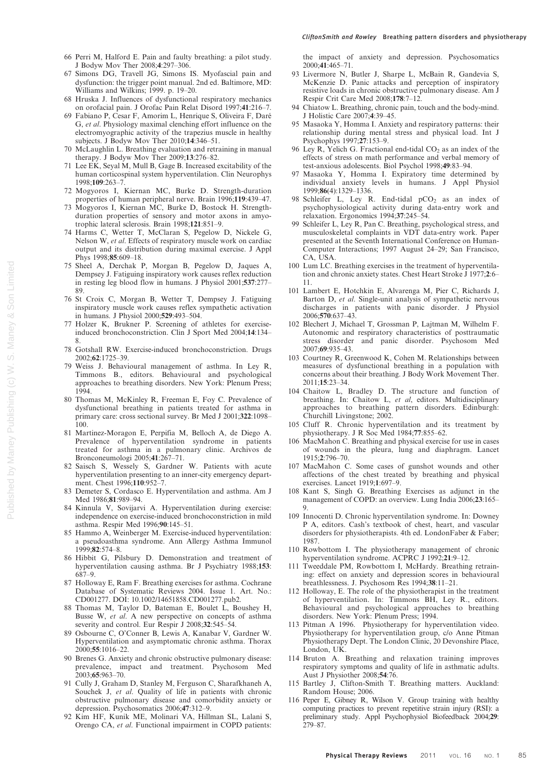- 66 Perri M, Halford E. Pain and faulty breathing: a pilot study. J Bodyw Mov Ther 2008;4:297–306.
- 67 Simons DG, Travell JG, Simons IS. Myofascial pain and dysfunction: the trigger point manual. 2nd ed. Baltimore, MD: Williams and Wilkins; 1999. p. 19–20.
- 68 Hruska J. Influences of dysfunctional respiratory mechanics on orofacial pain. J Orofac Pain Relat Disord 1997;41:216–7.
- 69 Fabiano P, Cesar F, Amorim L, Henrique S, Oliveira F, Dare´ G, et al. Physiology maximal clenching effort influence on the electromyographic activity of the trapezius muscle in healthy subjects. J Bodyw Mov Ther 2010;14:346–51.
- 70 McLaughlin L. Breathing evaluation and retraining in manual therapy. J Bodyw Mov Ther 2009;13:276–82.
- 71 Lee EK, Seyal M, Mull B, Gage B. Increased excitability of the human corticospinal system hyperventilation. Clin Neurophys 1998;109:263–7.
- 72 Mogyoros I, Kiernan MC, Burke D. Strength-duration properties of human peripheral nerve. Brain 1996;119:439–47.
- 73 Mogyoros I, Kiernan MC, Burke D, Bostock H. Strengthduration properties of sensory and motor axons in amyotrophic lateral sclerosis. Brain 1998;121:851–9.
- 74 Harms C, Wetter T, McClaran S, Pegelow D, Nickele G, Nelson W, et al. Effects of respiratory muscle work on cardiac output and its distribution during maximal exercise. J Appl Phys 1998;85:609–18.
- 75 Sheel A, Derchak P, Morgan B, Pegelow D, Jaques A, Dempsey J. Fatiguing inspiratory work causes reflex reduction in resting leg blood flow in humans. J Physiol 2001;537:277– 89.
- 76 St Croix C, Morgan B, Wetter T, Dempsey J. Fatiguing inspiratory muscle work causes reflex sympathetic activation in humans. J Physiol 2000;529:493–504.
- 77 Holzer K, Brukner P. Screening of athletes for exerciseinduced bronchoconstriction. Clin J Sport Med 2004;14:134– 8.
- 78 Gotshall RW. Exercise-induced bronchoconstriction. Drugs 2002;62:1725–39.
- 79 Weiss J. Behavioural management of asthma. In Ley R, Timmons B., editors. Behavioural and psychological approaches to breathing disorders. New York: Plenum Press; 1994.
- 80 Thomas M, McKinley R, Freeman E, Foy C. Prevalence of dysfunctional breathing in patients treated for asthma in primary care: cross sectional survey. Br Med J 2001;322:1098– 100.
- 81 Martinez-Moragon E, Perpifia M, Belloch A, de Diego A. Prevalence of hyperventilation syndrome in patients treated for asthma in a pulmonary clinic. Archivos de Bronconeumologi 2005;41:267–71.
- 82 Saisch S, Wessely S, Gardner W. Patients with acute hyperventilation presenting to an inner-city emergency department. Chest 1996;110:952–7.
- 83 Demeter S, Cordasco E. Hyperventilation and asthma. Am J Med 1986;81:989–94.
- 84 Kinnula V, Sovijarvi A. Hyperventilation during exercise: independence on exercise-induced bronchoconstriction in mild asthma. Respir Med 1996;90:145–51.
- 85 Hammo A, Weinberger M. Exercise-induced hyperventilation: a pseudoasthma syndrome. Ann Allergy Asthma Immunol 1999;82:574–8.
- 86 Hibbit G, Pilsbury D. Demonstration and treatment of hyperventilation causing asthma. Br J Psychiatry 1988;153: 687–9.
- 87 Holloway E, Ram F. Breathing exercises for asthma. Cochrane Database of Systematic Reviews 2004. Issue 1. Art. No.: CD001277. DOI: 10.1002/14651858.CD001277.pub2.
- 88 Thomas M, Taylor D, Bateman E, Boulet L, Boushey H, Busse W, et al. A new perspective on concepts of asthma severity and control. Eur Respir J 2008;32:545-54.
- 89 Osbourne C, O'Conner B, Lewis A, Kanabar V, Gardner W. Hyperventilation and asymptomatic chronic asthma. Thorax 2000;55:1016–22.
- 90 Brenes G. Anxiety and chronic obstructive pulmonary disease: prevalence, impact and treatment. Psychosom Med  $2003;65:963-70.$
- 91 Cully J, Graham D, Stanley M, Ferguson C, Sharafkhaneh A, Souchek J, et al. Quality of life in patients with chronic obstructive pulmonary disease and comorbidity anxiety or depression. Psychosomatics 2006;47:312–9.
- 92 Kim HF, Kunik ME, Molinari VA, Hillman SL, Lalani S, Orengo CA, et al. Functional impairment in COPD patients:

the impact of anxiety and depression. Psychosomatics 2000;41:465–71.

- 93 Livermore N, Butler J, Sharpe L, McBain R, Gandevia S, McKenzie D. Panic attacks and perception of inspiratory resistive loads in chronic obstructive pulmonary disease. Am J Respir Crit Care Med 2008;178:7–12.
- 94 Chiatow L. Breathing, chronic pain, touch and the body-mind. J Holistic Care 2007;4:39–45.
- 95 Masaoka Y, Homma I. Anxiety and respiratory patterns: their relationship during mental stress and physical load. Int J Psychophys 1997;27:153–9.
- 96 Ley R, Yelich G. Fractional end-tidal  $CO<sub>2</sub>$  as an index of the effects of stress on math performance and verbal memory of test-anxious adolescents. Biol Psychol 1998;49:83–94.
- 97 Masaoka Y, Homma I. Expiratory time determined by individual anxiety levels in humans. J Appl Physiol 1999;86(4):1329–1336.
- 98 Schleifer L, Ley R. End-tidal  $pCO<sub>2</sub>$  as an index of psychophysiological activity during data-entry work and relaxation. Ergonomics 1994;37:245–54.
- 99 Schleifer L, Ley R, Pan C. Breathing, psychological stress, and musculoskeletal complaints in VDT data-entry work. Paper presented at the Seventh International Conference on Human-Computer Interactions; 1997 August 24–29; San Francisco, CA, USA.
- 100 Lum LC. Breathing exercises in the treatment of hyperventilation and chronic anxiety states. Chest Heart Stroke J 1977;2:6– 11.
- 101 Lambert E, Hotchkin E, Alvarenga M, Pier C, Richards J, Barton D, et al. Single-unit analysis of sympathetic nervous discharges in patients with panic disorder. J Physiol 2006;570:637–43.
- 102 Blechert J, Michael T, Grossman P, Lajtman M, Wilhelm F. Autonomic and respiratory characteristics of posttraumatic stress disorder and panic disorder. Psychosom Med 2007;69:935–43.
- 103 Courtney R, Greenwood K, Cohen M. Relationships between measures of dysfunctional breathing in a population with concerns about their breathing. J Body Work Movement Ther. 2011;15:23–34.
- 104 Chaitow L, Bradley D. The structure and function of breathing. In: Chaitow L, et al, editors. Multidisciplinary approaches to breathing pattern disorders. Edinburgh: Churchill Livingstone; 2002.
- 105 Cluff R. Chronic hyperventilation and its treatment by physiotherapy. J R Soc Med 1984;77:855–62.
- 106 MacMahon C. Breathing and physical exercise for use in cases of wounds in the pleura, lung and diaphragm. Lancet 1915;2:796–70.
- 107 MacMahon C. Some cases of gunshot wounds and other affections of the chest treated by breathing and physical exercises. Lancet 1919;1:697–9.
- 108 Kant S, Singh G. Breathing Exercises as adjunct in the management of COPD: an overview. Lung India 2006;23:165– 9.
- 109 Innocenti D. Chronic hyperventilation syndrome. In: Downey P A, editors. Cash's textbook of chest, heart, and vascular disorders for physiotherapists. 4th ed. LondonFaber & Faber; 1987.
- 110 Rowbottom I. The physiotherapy management of chronic hyperventilation syndrome. ACPRC J 1992;21:9–12.
- 111 Tweeddale PM, Rowbottom I, McHardy. Breathing retraining: effect on anxiety and depression scores in behavioural breathlessness. J. Psychosom Res 1994;38:11–21.
- 112 Holloway, E. The role of the physiotherapist in the treatment of hyperventilation. In: Timmons BH, Ley R., editors. Behavioural and psychological approaches to breathing disorders. New York: Plenum Press; 1994.
- 113 Pitman A 1996. Physiotherapy for hyperventilation video. Physiotherapy for hyperventilation group, c/o Anne Pitman Physiotherapy Dept. The London Clinic, 20 Devonshire Place, London, UK.
- 114 Bruton A. Breathing and relaxation training improves respiratory symptoms and quality of life in asthmatic adults. Aust J Physiother 2008;54:76.
- 115 Bartley J, Clifton-Smith T. Breathing matters. Auckland: Random House; 2006.
- 116 Peper E, Gibney R, Wilson V. Group training with healthy computing practices to prevent repetitive strain injury (RSI): a preliminary study. Appl Psychophysiol Biofeedback 2004;29: 279–87.